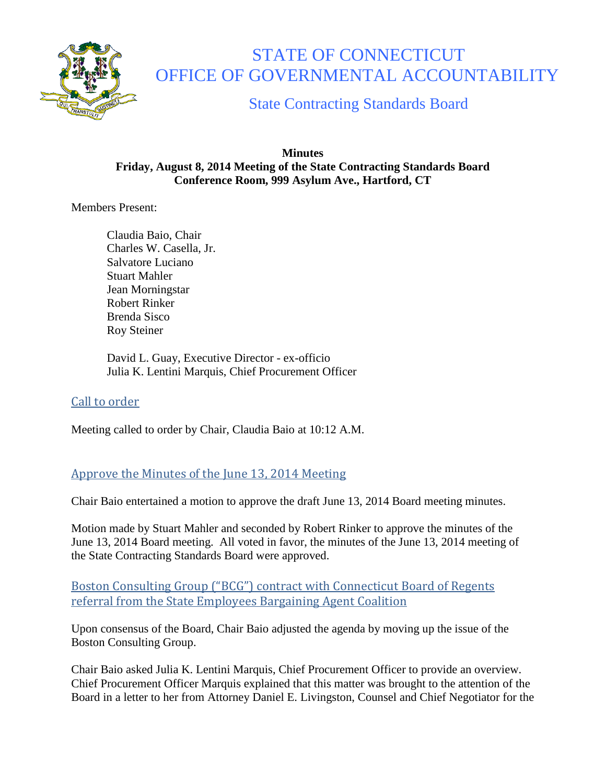

# STATE OF CONNECTICUT OFFICE OF GOVERNMENTAL ACCOUNTABILITY

State Contracting Standards Board

#### **Minutes Friday, August 8, 2014 Meeting of the State Contracting Standards Board Conference Room, 999 Asylum Ave., Hartford, CT**

Members Present:

Claudia Baio, Chair Charles W. Casella, Jr. Salvatore Luciano Stuart Mahler Jean Morningstar Robert Rinker Brenda Sisco Roy Steiner

David L. Guay, Executive Director - ex-officio Julia K. Lentini Marquis, Chief Procurement Officer

# Call to order

Meeting called to order by Chair, Claudia Baio at 10:12 A.M.

## Approve the Minutes of the June 13, 2014 Meeting

Chair Baio entertained a motion to approve the draft June 13, 2014 Board meeting minutes.

Motion made by Stuart Mahler and seconded by Robert Rinker to approve the minutes of the June 13, 2014 Board meeting. All voted in favor, the minutes of the June 13, 2014 meeting of the State Contracting Standards Board were approved.

Boston Consulting Group ("BCG") contract with Connecticut Board of Regents referral from the State Employees Bargaining Agent Coalition

Upon consensus of the Board, Chair Baio adjusted the agenda by moving up the issue of the Boston Consulting Group.

Chair Baio asked Julia K. Lentini Marquis, Chief Procurement Officer to provide an overview. Chief Procurement Officer Marquis explained that this matter was brought to the attention of the Board in a letter to her from Attorney Daniel E. Livingston, Counsel and Chief Negotiator for the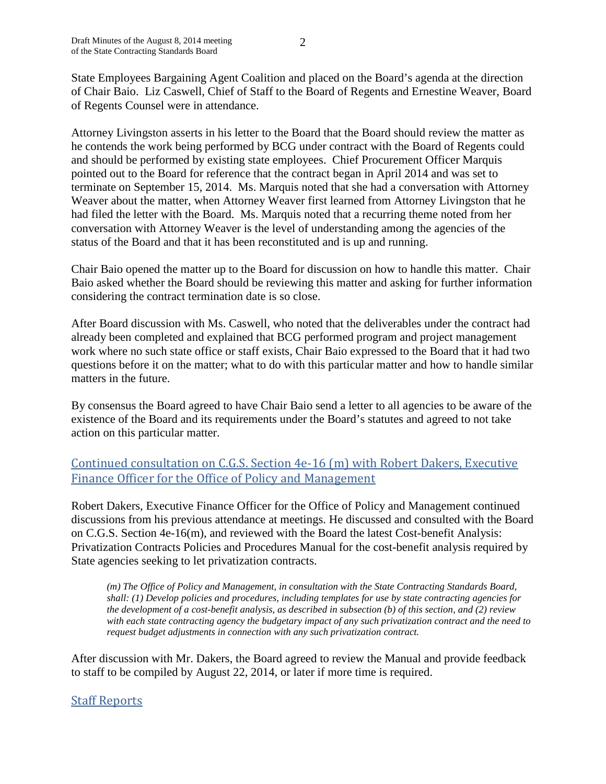State Employees Bargaining Agent Coalition and placed on the Board's agenda at the direction of Chair Baio. Liz Caswell, Chief of Staff to the Board of Regents and Ernestine Weaver, Board of Regents Counsel were in attendance.

Attorney Livingston asserts in his letter to the Board that the Board should review the matter as he contends the work being performed by BCG under contract with the Board of Regents could and should be performed by existing state employees. Chief Procurement Officer Marquis pointed out to the Board for reference that the contract began in April 2014 and was set to terminate on September 15, 2014. Ms. Marquis noted that she had a conversation with Attorney Weaver about the matter, when Attorney Weaver first learned from Attorney Livingston that he had filed the letter with the Board. Ms. Marquis noted that a recurring theme noted from her conversation with Attorney Weaver is the level of understanding among the agencies of the status of the Board and that it has been reconstituted and is up and running.

Chair Baio opened the matter up to the Board for discussion on how to handle this matter. Chair Baio asked whether the Board should be reviewing this matter and asking for further information considering the contract termination date is so close.

After Board discussion with Ms. Caswell, who noted that the deliverables under the contract had already been completed and explained that BCG performed program and project management work where no such state office or staff exists, Chair Baio expressed to the Board that it had two questions before it on the matter; what to do with this particular matter and how to handle similar matters in the future.

By consensus the Board agreed to have Chair Baio send a letter to all agencies to be aware of the existence of the Board and its requirements under the Board's statutes and agreed to not take action on this particular matter.

## Continued consultation on C.G.S. Section 4e-16 (m) with Robert Dakers, Executive Finance Officer for the Office of Policy and Management

Robert Dakers, Executive Finance Officer for the Office of Policy and Management continued discussions from his previous attendance at meetings. He discussed and consulted with the Board on C.G.S. Section 4e-16(m), and reviewed with the Board the latest Cost-benefit Analysis: Privatization Contracts Policies and Procedures Manual for the cost-benefit analysis required by State agencies seeking to let privatization contracts.

*(m) The Office of Policy and Management, in consultation with the State Contracting Standards Board, shall: (1) Develop policies and procedures, including templates for use by state contracting agencies for the development of a cost-benefit analysis, as described in subsection (b) of this section, and (2) review with each state contracting agency the budgetary impact of any such privatization contract and the need to request budget adjustments in connection with any such privatization contract.*

After discussion with Mr. Dakers, the Board agreed to review the Manual and provide feedback to staff to be compiled by August 22, 2014, or later if more time is required.

## Staff Reports